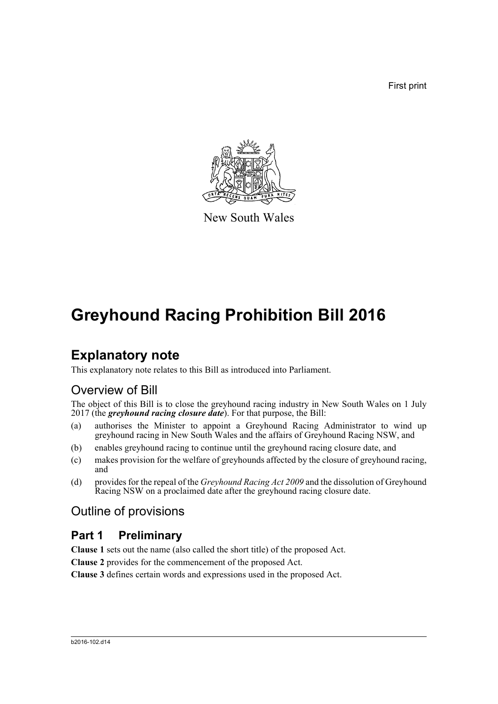First print



New South Wales

# **Greyhound Racing Prohibition Bill 2016**

## **Explanatory note**

This explanatory note relates to this Bill as introduced into Parliament.

## Overview of Bill

The object of this Bill is to close the greyhound racing industry in New South Wales on 1 July 2017 (the *greyhound racing closure date*). For that purpose, the Bill:

- (a) authorises the Minister to appoint a Greyhound Racing Administrator to wind up greyhound racing in New South Wales and the affairs of Greyhound Racing NSW, and
- (b) enables greyhound racing to continue until the greyhound racing closure date, and
- (c) makes provision for the welfare of greyhounds affected by the closure of greyhound racing, and
- (d) provides for the repeal of the *Greyhound Racing Act 2009* and the dissolution of Greyhound Racing NSW on a proclaimed date after the greyhound racing closure date.

## Outline of provisions

## **Part 1 Preliminary**

**Clause 1** sets out the name (also called the short title) of the proposed Act.

**Clause 2** provides for the commencement of the proposed Act.

**Clause 3** defines certain words and expressions used in the proposed Act.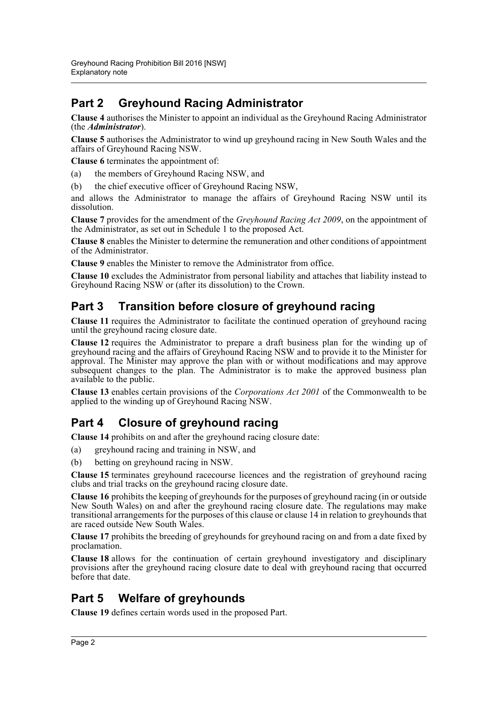## **Part 2 Greyhound Racing Administrator**

**Clause 4** authorises the Minister to appoint an individual as the Greyhound Racing Administrator (the *Administrator*).

**Clause 5** authorises the Administrator to wind up greyhound racing in New South Wales and the affairs of Greyhound Racing NSW.

**Clause 6** terminates the appointment of:

- (a) the members of Greyhound Racing NSW, and
- (b) the chief executive officer of Greyhound Racing NSW,

and allows the Administrator to manage the affairs of Greyhound Racing NSW until its dissolution.

**Clause 7** provides for the amendment of the *Greyhound Racing Act 2009*, on the appointment of the Administrator, as set out in Schedule 1 to the proposed Act.

**Clause 8** enables the Minister to determine the remuneration and other conditions of appointment of the Administrator.

**Clause 9** enables the Minister to remove the Administrator from office.

**Clause 10** excludes the Administrator from personal liability and attaches that liability instead to Greyhound Racing NSW or (after its dissolution) to the Crown.

## **Part 3 Transition before closure of greyhound racing**

**Clause 11** requires the Administrator to facilitate the continued operation of greyhound racing until the greyhound racing closure date.

**Clause 12** requires the Administrator to prepare a draft business plan for the winding up of greyhound racing and the affairs of Greyhound Racing NSW and to provide it to the Minister for approval. The Minister may approve the plan with or without modifications and may approve subsequent changes to the plan. The Administrator is to make the approved business plan available to the public.

**Clause 13** enables certain provisions of the *Corporations Act 2001* of the Commonwealth to be applied to the winding up of Greyhound Racing NSW.

## **Part 4 Closure of greyhound racing**

**Clause 14** prohibits on and after the greyhound racing closure date:

- (a) greyhound racing and training in NSW, and
- (b) betting on greyhound racing in NSW.

**Clause 15** terminates greyhound racecourse licences and the registration of greyhound racing clubs and trial tracks on the greyhound racing closure date.

**Clause 16** prohibits the keeping of greyhounds for the purposes of greyhound racing (in or outside New South Wales) on and after the greyhound racing closure date. The regulations may make transitional arrangements for the purposes of this clause or clause 14 in relation to greyhounds that are raced outside New South Wales.

**Clause 17** prohibits the breeding of greyhounds for greyhound racing on and from a date fixed by proclamation.

**Clause 18** allows for the continuation of certain greyhound investigatory and disciplinary provisions after the greyhound racing closure date to deal with greyhound racing that occurred before that date.

## **Part 5 Welfare of greyhounds**

**Clause 19** defines certain words used in the proposed Part.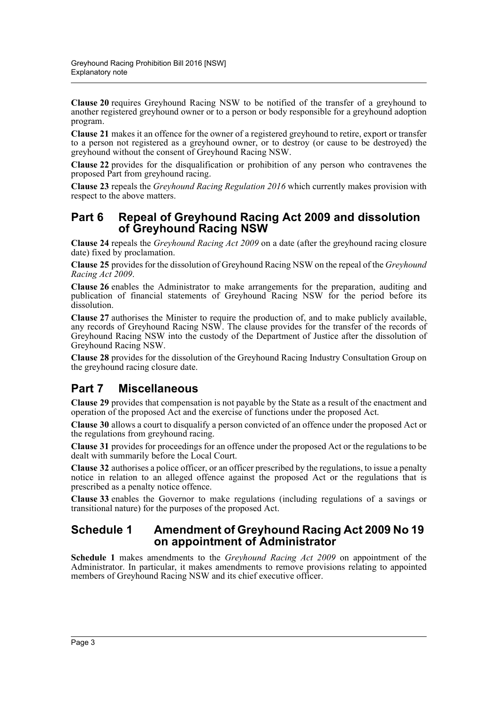**Clause 20** requires Greyhound Racing NSW to be notified of the transfer of a greyhound to another registered greyhound owner or to a person or body responsible for a greyhound adoption program.

**Clause 21** makes it an offence for the owner of a registered greyhound to retire, export or transfer to a person not registered as a greyhound owner, or to destroy (or cause to be destroyed) the greyhound without the consent of Greyhound Racing NSW.

**Clause 22** provides for the disqualification or prohibition of any person who contravenes the proposed Part from greyhound racing.

**Clause 23** repeals the *Greyhound Racing Regulation 2016* which currently makes provision with respect to the above matters.

### **Part 6 Repeal of Greyhound Racing Act 2009 and dissolution of Greyhound Racing NSW**

**Clause 24** repeals the *Greyhound Racing Act 2009* on a date (after the greyhound racing closure date) fixed by proclamation.

**Clause 25** provides for the dissolution of Greyhound Racing NSW on the repeal of the *Greyhound Racing Act 2009*.

**Clause 26** enables the Administrator to make arrangements for the preparation, auditing and publication of financial statements of Greyhound Racing NSW for the period before its dissolution.

**Clause 27** authorises the Minister to require the production of, and to make publicly available, any records of Greyhound Racing NSW. The clause provides for the transfer of the records of Greyhound Racing NSW into the custody of the Department of Justice after the dissolution of Greyhound Racing NSW.

**Clause 28** provides for the dissolution of the Greyhound Racing Industry Consultation Group on the greyhound racing closure date.

## **Part 7 Miscellaneous**

**Clause 29** provides that compensation is not payable by the State as a result of the enactment and operation of the proposed Act and the exercise of functions under the proposed Act.

**Clause 30** allows a court to disqualify a person convicted of an offence under the proposed Act or the regulations from greyhound racing.

**Clause 31** provides for proceedings for an offence under the proposed Act or the regulations to be dealt with summarily before the Local Court.

**Clause 32** authorises a police officer, or an officer prescribed by the regulations, to issue a penalty notice in relation to an alleged offence against the proposed Act or the regulations that is prescribed as a penalty notice offence.

**Clause 33** enables the Governor to make regulations (including regulations of a savings or transitional nature) for the purposes of the proposed Act.

### **Schedule 1 Amendment of Greyhound Racing Act 2009 No 19 on appointment of Administrator**

**Schedule 1** makes amendments to the *Greyhound Racing Act 2009* on appointment of the Administrator. In particular, it makes amendments to remove provisions relating to appointed members of Greyhound Racing NSW and its chief executive officer.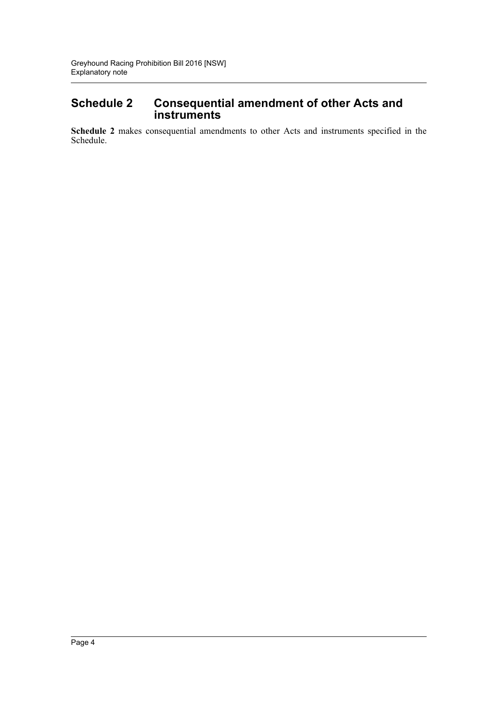## **Schedule 2 Consequential amendment of other Acts and instruments**

**Schedule 2** makes consequential amendments to other Acts and instruments specified in the Schedule.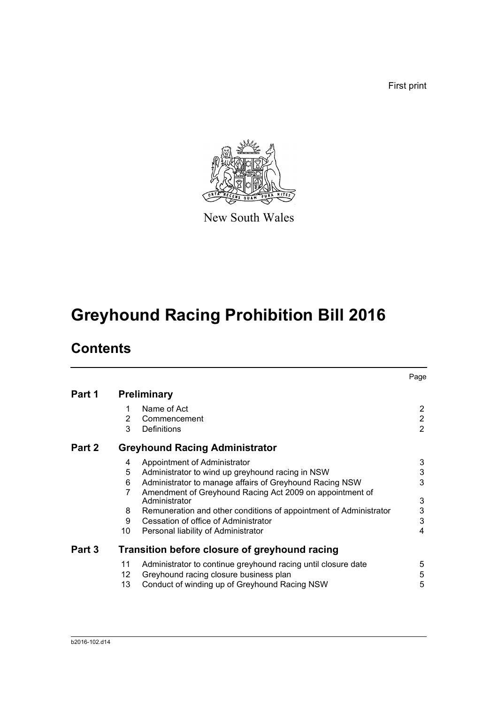First print



New South Wales

# **Greyhound Racing Prohibition Bill 2016**

## **Contents**

|        |    |                                                                           | Page           |
|--------|----|---------------------------------------------------------------------------|----------------|
| Part 1 |    | <b>Preliminary</b>                                                        |                |
|        | 1  | Name of Act                                                               | $\overline{2}$ |
|        | 2  | Commencement                                                              | $\overline{2}$ |
|        | 3  | <b>Definitions</b>                                                        | $\overline{2}$ |
| Part 2 |    | <b>Greyhound Racing Administrator</b>                                     |                |
|        | 4  | Appointment of Administrator                                              | 3              |
|        | 5  | Administrator to wind up greyhound racing in NSW                          | 3              |
|        | 6  | Administrator to manage affairs of Greyhound Racing NSW                   | 3              |
|        | 7  | Amendment of Greyhound Racing Act 2009 on appointment of<br>Administrator | 3              |
|        | 8  | Remuneration and other conditions of appointment of Administrator         | 3              |
|        | 9  | Cessation of office of Administrator                                      | $\mathbf{3}$   |
|        | 10 | Personal liability of Administrator                                       | 4              |
| Part 3 |    | Transition before closure of greyhound racing                             |                |
|        | 11 | Administrator to continue greyhound racing until closure date             | 5              |
|        | 12 | Greyhound racing closure business plan                                    | 5              |
|        | 13 | Conduct of winding up of Greyhound Racing NSW                             | 5              |
|        |    |                                                                           |                |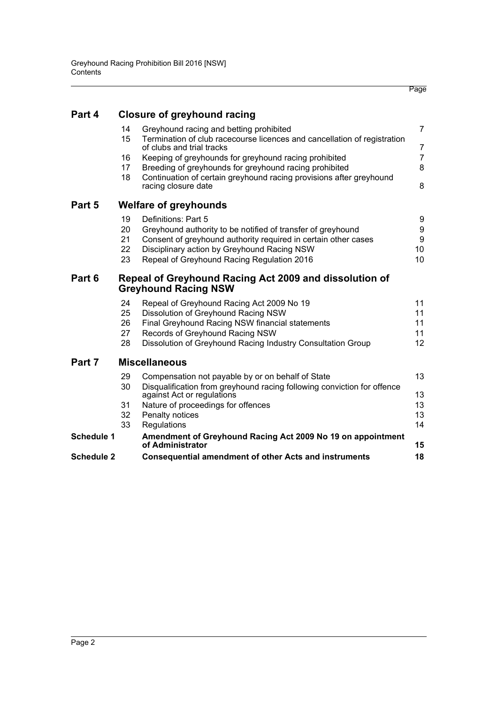|                   |    |                                                                                                       | Page            |
|-------------------|----|-------------------------------------------------------------------------------------------------------|-----------------|
| Part 4            |    | <b>Closure of greyhound racing</b>                                                                    |                 |
|                   | 14 | Greyhound racing and betting prohibited                                                               | $\overline{7}$  |
|                   | 15 | Termination of club racecourse licences and cancellation of registration<br>of clubs and trial tracks | $\overline{7}$  |
|                   | 16 | Keeping of greyhounds for greyhound racing prohibited                                                 | $\overline{7}$  |
|                   | 17 | Breeding of greyhounds for greyhound racing prohibited                                                | 8               |
|                   | 18 | Continuation of certain greyhound racing provisions after greyhound<br>racing closure date            | 8               |
| Part 5            |    | <b>Welfare of greyhounds</b>                                                                          |                 |
|                   | 19 | Definitions: Part 5                                                                                   | 9               |
|                   | 20 | Greyhound authority to be notified of transfer of greyhound                                           | 9               |
|                   | 21 | Consent of greyhound authority required in certain other cases                                        | 9               |
|                   | 22 | Disciplinary action by Greyhound Racing NSW                                                           | 10              |
|                   | 23 | Repeal of Greyhound Racing Regulation 2016                                                            | 10              |
| Part 6            |    | Repeal of Greyhound Racing Act 2009 and dissolution of<br><b>Greyhound Racing NSW</b>                 |                 |
|                   | 24 | Repeal of Greyhound Racing Act 2009 No 19                                                             | 11              |
|                   | 25 | Dissolution of Greyhound Racing NSW                                                                   | 11              |
|                   | 26 | Final Greyhound Racing NSW financial statements                                                       | 11              |
|                   | 27 | Records of Greyhound Racing NSW                                                                       | 11              |
|                   | 28 | Dissolution of Greyhound Racing Industry Consultation Group                                           | 12 <sup>2</sup> |
| Part 7            |    | <b>Miscellaneous</b>                                                                                  |                 |
|                   | 29 | Compensation not payable by or on behalf of State                                                     | 13              |
|                   | 30 | Disqualification from greyhound racing following conviction for offence<br>against Act or regulations | 13              |
|                   | 31 | Nature of proceedings for offences                                                                    | 13              |
|                   | 32 | Penalty notices                                                                                       | 13              |
|                   | 33 | Regulations                                                                                           | 14              |
| Schedule 1        |    | Amendment of Greyhound Racing Act 2009 No 19 on appointment<br>of Administrator                       | 15              |
| <b>Schedule 2</b> |    | <b>Consequential amendment of other Acts and instruments</b>                                          | 18              |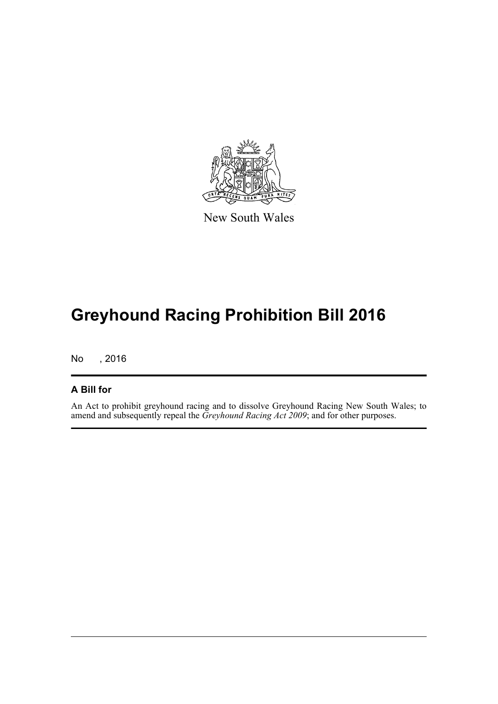

New South Wales

# **Greyhound Racing Prohibition Bill 2016**

No , 2016

### **A Bill for**

An Act to prohibit greyhound racing and to dissolve Greyhound Racing New South Wales; to amend and subsequently repeal the *Greyhound Racing Act 2009*; and for other purposes.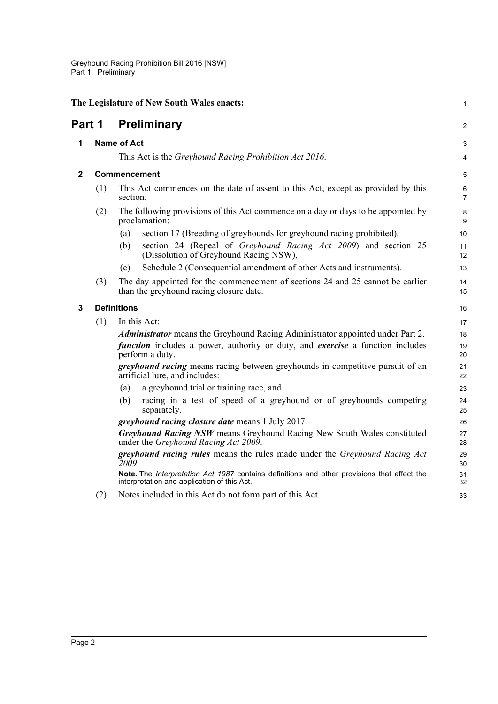<span id="page-7-3"></span><span id="page-7-2"></span><span id="page-7-1"></span><span id="page-7-0"></span>

|              |                    | The Legislature of New South Wales enacts:                                                                                                 | 1              |  |
|--------------|--------------------|--------------------------------------------------------------------------------------------------------------------------------------------|----------------|--|
| Part 1       |                    | <b>Preliminary</b>                                                                                                                         | $\overline{a}$ |  |
| 1            |                    | <b>Name of Act</b>                                                                                                                         |                |  |
|              |                    | This Act is the Greyhound Racing Prohibition Act 2016.                                                                                     | 4              |  |
| $\mathbf{2}$ |                    | <b>Commencement</b>                                                                                                                        | 5              |  |
|              | (1)                | This Act commences on the date of assent to this Act, except as provided by this<br>section.                                               | 6<br>7         |  |
|              | (2)                | The following provisions of this Act commence on a day or days to be appointed by<br>proclamation:                                         | 8<br>9         |  |
|              |                    | section 17 (Breeding of greyhounds for greyhound racing prohibited),<br>(a)                                                                | 10             |  |
|              |                    | section 24 (Repeal of <i>Greyhound Racing Act 2009</i> ) and section 25<br>(b)<br>(Dissolution of Greyhound Racing NSW),                   | 11<br>12       |  |
|              |                    | Schedule 2 (Consequential amendment of other Acts and instruments).<br>(c)                                                                 | 13             |  |
|              | (3)                | The day appointed for the commencement of sections 24 and 25 cannot be earlier<br>than the greyhound racing closure date.                  | 14<br>15       |  |
| 3            | <b>Definitions</b> |                                                                                                                                            | 16             |  |
|              | (1)                | In this Act:                                                                                                                               | 17             |  |
|              |                    | <b>Administrator</b> means the Greyhound Racing Administrator appointed under Part 2.                                                      | 18             |  |
|              |                    | <i>function</i> includes a power, authority or duty, and <i>exercise</i> a function includes<br>perform a duty.                            | 19<br>20       |  |
|              |                    | greyhound racing means racing between greyhounds in competitive pursuit of an<br>artificial lure, and includes:                            | 21<br>22       |  |
|              |                    | a greyhound trial or training race, and<br>(a)                                                                                             | 23             |  |
|              |                    | racing in a test of speed of a greyhound or of greyhounds competing<br>(b)<br>separately.                                                  | 24<br>25       |  |
|              |                    | greyhound racing closure date means 1 July 2017.                                                                                           | 26             |  |
|              |                    | Greyhound Racing NSW means Greyhound Racing New South Wales constituted<br>under the Greyhound Racing Act 2009.                            | 27<br>28       |  |
|              |                    | greyhound racing rules means the rules made under the Greyhound Racing Act<br>2009.                                                        | 29<br>30       |  |
|              |                    | Note. The Interpretation Act 1987 contains definitions and other provisions that affect the<br>interpretation and application of this Act. | 31<br>32       |  |
|              | (2)                | Notes included in this Act do not form part of this Act.                                                                                   | 33             |  |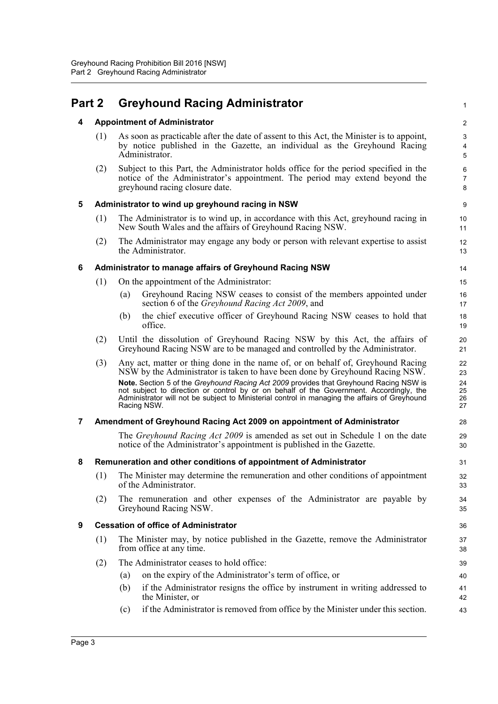<span id="page-8-6"></span><span id="page-8-5"></span><span id="page-8-4"></span><span id="page-8-3"></span><span id="page-8-2"></span><span id="page-8-1"></span><span id="page-8-0"></span>

| Part 2         |     | <b>Greyhound Racing Administrator</b>                                                                                                                                                                                                                                                             |                          |  |
|----------------|-----|---------------------------------------------------------------------------------------------------------------------------------------------------------------------------------------------------------------------------------------------------------------------------------------------------|--------------------------|--|
| 4              |     | <b>Appointment of Administrator</b>                                                                                                                                                                                                                                                               |                          |  |
|                | (1) | As soon as practicable after the date of assent to this Act, the Minister is to appoint,<br>by notice published in the Gazette, an individual as the Greyhound Racing<br>Administrator.                                                                                                           | 3<br>4<br>5              |  |
|                | (2) | Subject to this Part, the Administrator holds office for the period specified in the<br>notice of the Administrator's appointment. The period may extend beyond the<br>greyhound racing closure date.                                                                                             | 6<br>$\overline{7}$<br>8 |  |
| 5              |     | Administrator to wind up greyhound racing in NSW                                                                                                                                                                                                                                                  | 9                        |  |
|                | (1) | The Administrator is to wind up, in accordance with this Act, greyhound racing in<br>New South Wales and the affairs of Greyhound Racing NSW.                                                                                                                                                     | 10<br>11                 |  |
|                | (2) | The Administrator may engage any body or person with relevant expertise to assist<br>the Administrator.                                                                                                                                                                                           | 12<br>13                 |  |
| 6              |     | Administrator to manage affairs of Greyhound Racing NSW                                                                                                                                                                                                                                           | 14                       |  |
|                | (1) | On the appointment of the Administrator:                                                                                                                                                                                                                                                          | 15                       |  |
|                |     | Greyhound Racing NSW ceases to consist of the members appointed under<br>(a)<br>section 6 of the <i>Greyhound Racing Act 2009</i> , and                                                                                                                                                           | 16<br>17                 |  |
|                |     | the chief executive officer of Greyhound Racing NSW ceases to hold that<br>(b)<br>office.                                                                                                                                                                                                         | 18<br>19                 |  |
|                | (2) | Until the dissolution of Greyhound Racing NSW by this Act, the affairs of<br>Greyhound Racing NSW are to be managed and controlled by the Administrator.                                                                                                                                          | 20<br>21                 |  |
|                | (3) | Any act, matter or thing done in the name of, or on behalf of, Greyhound Racing<br>NSW by the Administrator is taken to have been done by Greyhound Racing NSW.                                                                                                                                   | 22<br>23                 |  |
|                |     | Note. Section 5 of the Greyhound Racing Act 2009 provides that Greyhound Racing NSW is<br>not subject to direction or control by or on behalf of the Government. Accordingly, the<br>Administrator will not be subject to Ministerial control in managing the affairs of Greyhound<br>Racing NSW. | 24<br>25<br>26<br>27     |  |
| $\overline{7}$ |     | Amendment of Greyhound Racing Act 2009 on appointment of Administrator                                                                                                                                                                                                                            | 28                       |  |
|                |     | The <i>Greyhound Racing Act 2009</i> is amended as set out in Schedule 1 on the date<br>notice of the Administrator's appointment is published in the Gazette.                                                                                                                                    | 29<br>30                 |  |
| 8              |     | Remuneration and other conditions of appointment of Administrator                                                                                                                                                                                                                                 | 31                       |  |
|                | (1) | The Minister may determine the remuneration and other conditions of appointment<br>of the Administrator.                                                                                                                                                                                          | 32<br>33                 |  |
|                | (2) | The remuneration and other expenses of the Administrator are payable by<br>Greyhound Racing NSW.                                                                                                                                                                                                  | 34<br>35                 |  |
| 9              |     | <b>Cessation of office of Administrator</b>                                                                                                                                                                                                                                                       | 36                       |  |
|                | (1) | The Minister may, by notice published in the Gazette, remove the Administrator<br>from office at any time.                                                                                                                                                                                        | 37<br>38                 |  |
|                | (2) | The Administrator ceases to hold office:                                                                                                                                                                                                                                                          | 39                       |  |
|                |     | on the expiry of the Administrator's term of office, or<br>(a)                                                                                                                                                                                                                                    | 40                       |  |
|                |     | if the Administrator resigns the office by instrument in writing addressed to<br>(b)<br>the Minister, or                                                                                                                                                                                          | 41<br>42                 |  |
|                |     | if the Administrator is removed from office by the Minister under this section.<br>(c)                                                                                                                                                                                                            | 43                       |  |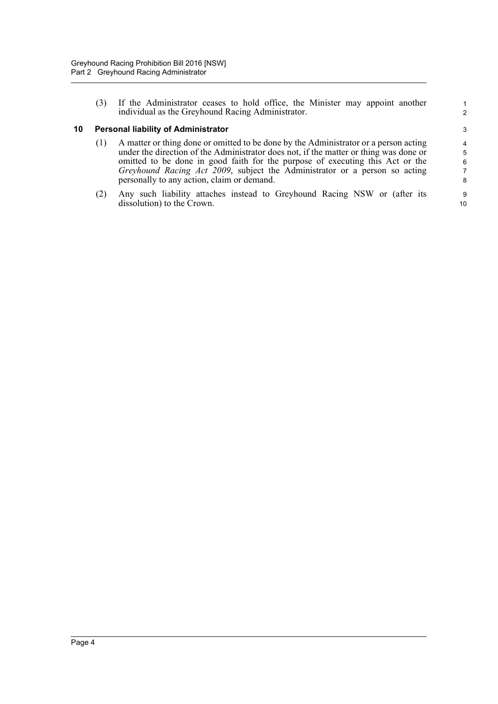(3) If the Administrator ceases to hold office, the Minister may appoint another individual as the Greyhound Racing Administrator.

#### <span id="page-9-0"></span>**10 Personal liability of Administrator**

- (1) A matter or thing done or omitted to be done by the Administrator or a person acting under the direction of the Administrator does not, if the matter or thing was done or omitted to be done in good faith for the purpose of executing this Act or the *Greyhound Racing Act 2009*, subject the Administrator or a person so acting personally to any action, claim or demand.
- (2) Any such liability attaches instead to Greyhound Racing NSW or (after its dissolution) to the Crown.

10

1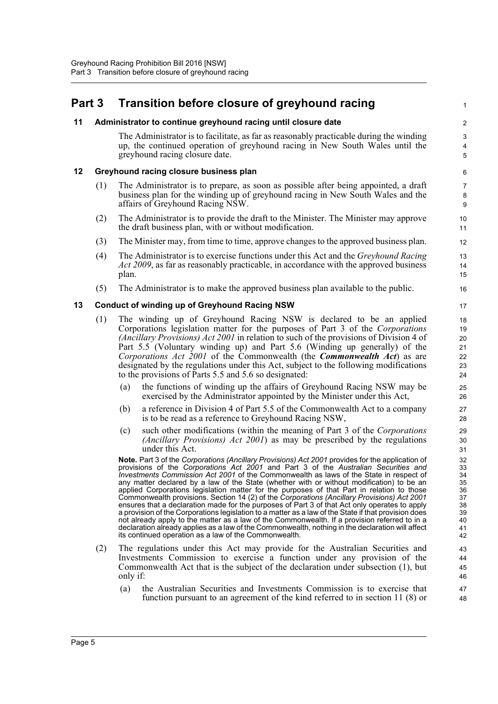## <span id="page-10-0"></span>**Part 3 Transition before closure of greyhound racing**

#### <span id="page-10-1"></span>**11 Administrator to continue greyhound racing until closure date**

The Administrator is to facilitate, as far as reasonably practicable during the winding up, the continued operation of greyhound racing in New South Wales until the greyhound racing closure date.

1

#### <span id="page-10-2"></span>**12 Greyhound racing closure business plan**

- (1) The Administrator is to prepare, as soon as possible after being appointed, a draft business plan for the winding up of greyhound racing in New South Wales and the affairs of Greyhound Racing NSW.
- (2) The Administrator is to provide the draft to the Minister. The Minister may approve the draft business plan, with or without modification.
- (3) The Minister may, from time to time, approve changes to the approved business plan.
- (4) The Administrator is to exercise functions under this Act and the *Greyhound Racing Act 2009*, as far as reasonably practicable, in accordance with the approved business plan.
- (5) The Administrator is to make the approved business plan available to the public.

#### <span id="page-10-3"></span>**13 Conduct of winding up of Greyhound Racing NSW**

- (1) The winding up of Greyhound Racing NSW is declared to be an applied Corporations legislation matter for the purposes of Part 3 of the *Corporations (Ancillary Provisions) Act 2001* in relation to such of the provisions of Division 4 of Part 5.5 (Voluntary winding up) and Part 5.6 (Winding up generally) of the *Corporations Act 2001* of the Commonwealth (the *Commonwealth Act*) as are designated by the regulations under this Act, subject to the following modifications to the provisions of Parts 5.5 and 5.6 so designated:
	- (a) the functions of winding up the affairs of Greyhound Racing NSW may be exercised by the Administrator appointed by the Minister under this Act,
	- (b) a reference in Division 4 of Part 5.5 of the Commonwealth Act to a company is to be read as a reference to Greyhound Racing NSW,
	- (c) such other modifications (within the meaning of Part 3 of the *Corporations (Ancillary Provisions) Act 2001*) as may be prescribed by the regulations under this Act.

**Note.** Part 3 of the *Corporations (Ancillary Provisions) Act 2001* provides for the application of provisions of the *Corporations Act 2001* and Part 3 of the *Australian Securities and Investments Commission Act 2001* of the Commonwealth as laws of the State in respect of any matter declared by a law of the State (whether with or without modification) to be an applied Corporations legislation matter for the purposes of that Part in relation to those Commonwealth provisions. Section 14 (2) of the *Corporations (Ancillary Provisions) Act 2001* ensures that a declaration made for the purposes of Part 3 of that Act only operates to apply a provision of the Corporations legislation to a matter as a law of the State if that provision does not already apply to the matter as a law of the Commonwealth. If a provision referred to in a declaration already applies as a law of the Commonwealth, nothing in the declaration will affect its continued operation as a law of the Commonwealth.

- (2) The regulations under this Act may provide for the Australian Securities and Investments Commission to exercise a function under any provision of the Commonwealth Act that is the subject of the declaration under subsection (1), but only if:
	- (a) the Australian Securities and Investments Commission is to exercise that function pursuant to an agreement of the kind referred to in section 11 (8) or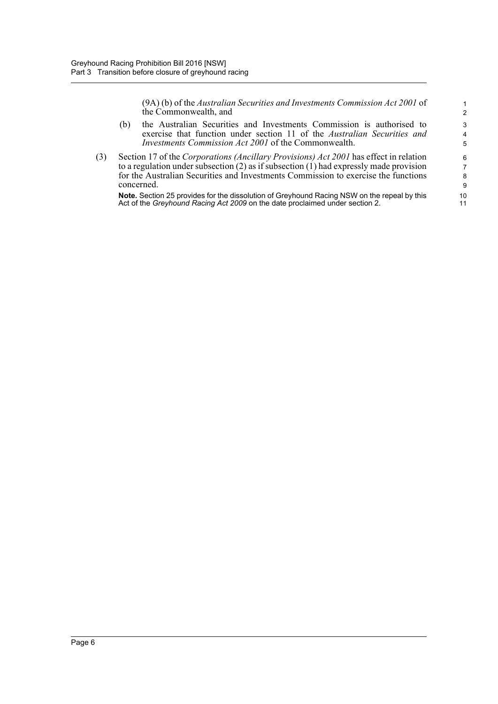(9A) (b) of the *Australian Securities and Investments Commission Act 2001* of the Commonwealth, and

- (b) the Australian Securities and Investments Commission is authorised to exercise that function under section 11 of the *Australian Securities and Investments Commission Act 2001* of the Commonwealth.
- (3) Section 17 of the *Corporations (Ancillary Provisions) Act 2001* has effect in relation to a regulation under subsection  $(2)$  as if subsection  $(1)$  had expressly made provision for the Australian Securities and Investments Commission to exercise the functions concerned.

**Note.** Section 25 provides for the dissolution of Greyhound Racing NSW on the repeal by this Act of the *Greyhound Racing Act 2009* on the date proclaimed under section 2.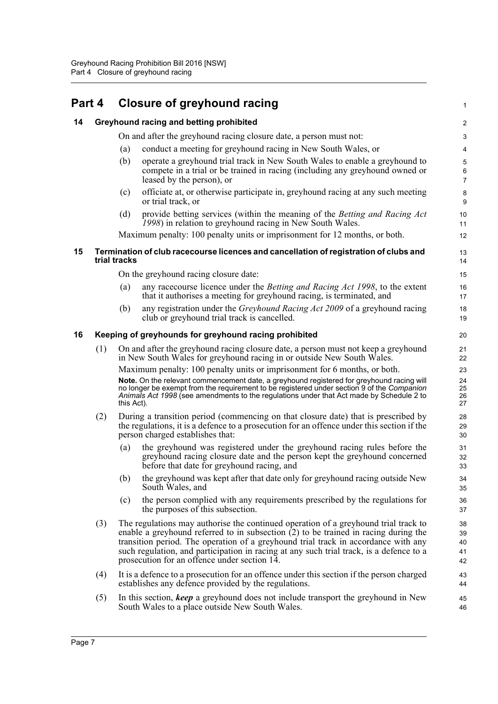<span id="page-12-3"></span><span id="page-12-2"></span><span id="page-12-1"></span><span id="page-12-0"></span>

| Part 4 |     |                                         | <b>Closure of greyhound racing</b>                                                                                                                                                                                                                                                                                                                                                                            | 1                          |  |
|--------|-----|-----------------------------------------|---------------------------------------------------------------------------------------------------------------------------------------------------------------------------------------------------------------------------------------------------------------------------------------------------------------------------------------------------------------------------------------------------------------|----------------------------|--|
| 14     |     | Greyhound racing and betting prohibited |                                                                                                                                                                                                                                                                                                                                                                                                               |                            |  |
|        |     |                                         | On and after the greyhound racing closure date, a person must not:                                                                                                                                                                                                                                                                                                                                            | 3                          |  |
|        |     | (a)                                     | conduct a meeting for greyhound racing in New South Wales, or                                                                                                                                                                                                                                                                                                                                                 | 4                          |  |
|        |     | (b)                                     | operate a greyhound trial track in New South Wales to enable a greyhound to<br>compete in a trial or be trained in racing (including any greyhound owned or<br>leased by the person), or                                                                                                                                                                                                                      | 5<br>6<br>$\overline{7}$   |  |
|        |     | (c)                                     | officiate at, or otherwise participate in, greyhound racing at any such meeting<br>or trial track, or                                                                                                                                                                                                                                                                                                         | 8<br>9                     |  |
|        |     | (d)                                     | provide betting services (within the meaning of the Betting and Racing Act<br>1998) in relation to greyhound racing in New South Wales.                                                                                                                                                                                                                                                                       | 10<br>11                   |  |
|        |     |                                         | Maximum penalty: 100 penalty units or imprisonment for 12 months, or both.                                                                                                                                                                                                                                                                                                                                    | 12                         |  |
| 15     |     | trial tracks                            | Termination of club racecourse licences and cancellation of registration of clubs and                                                                                                                                                                                                                                                                                                                         | 13<br>14                   |  |
|        |     |                                         | On the greyhound racing closure date:                                                                                                                                                                                                                                                                                                                                                                         | 15                         |  |
|        |     | (a)                                     | any racecourse licence under the <i>Betting and Racing Act 1998</i> , to the extent<br>that it authorises a meeting for greyhound racing, is terminated, and                                                                                                                                                                                                                                                  | 16<br>17                   |  |
|        |     | (b)                                     | any registration under the Greyhound Racing Act 2009 of a greyhound racing<br>club or greyhound trial track is cancelled.                                                                                                                                                                                                                                                                                     | 18<br>19                   |  |
| 16     |     |                                         | Keeping of greyhounds for greyhound racing prohibited                                                                                                                                                                                                                                                                                                                                                         | 20                         |  |
|        | (1) |                                         | On and after the greyhound racing closure date, a person must not keep a greyhound<br>in New South Wales for greyhound racing in or outside New South Wales.                                                                                                                                                                                                                                                  | 21<br>22                   |  |
|        |     |                                         | Maximum penalty: 100 penalty units or imprisonment for 6 months, or both.                                                                                                                                                                                                                                                                                                                                     | 23                         |  |
|        |     | this Act).                              | Note. On the relevant commencement date, a greyhound registered for greyhound racing will<br>no longer be exempt from the requirement to be registered under section 9 of the Companion<br>Animals Act 1998 (see amendments to the regulations under that Act made by Schedule 2 to                                                                                                                           | 24<br>25<br>26<br>27       |  |
|        | (2) |                                         | During a transition period (commencing on that closure date) that is prescribed by<br>the regulations, it is a defence to a prosecution for an offence under this section if the<br>person charged establishes that:                                                                                                                                                                                          | 28<br>29<br>30             |  |
|        |     | (a)                                     | the greyhound was registered under the greyhound racing rules before the<br>greyhound racing closure date and the person kept the greyhound concerned<br>before that date for greyhound racing, and                                                                                                                                                                                                           | 31<br>32<br>33             |  |
|        |     | (b)                                     | the greyhound was kept after that date only for greyhound racing outside New<br>South Wales, and                                                                                                                                                                                                                                                                                                              | 34<br>35                   |  |
|        |     | (c)                                     | the person complied with any requirements prescribed by the regulations for<br>the purposes of this subsection.                                                                                                                                                                                                                                                                                               | 36<br>37                   |  |
|        | (3) |                                         | The regulations may authorise the continued operation of a greyhound trial track to<br>enable a greyhound referred to in subsection $(2)$ to be trained in racing during the<br>transition period. The operation of a greyhound trial track in accordance with any<br>such regulation, and participation in racing at any such trial track, is a defence to a<br>prosecution for an offence under section 14. | 38<br>39<br>40<br>41<br>42 |  |
|        | (4) |                                         | It is a defence to a prosecution for an offence under this section if the person charged<br>establishes any defence provided by the regulations.                                                                                                                                                                                                                                                              | 43<br>44                   |  |
|        | (5) |                                         | In this section, keep a greyhound does not include transport the greyhound in New<br>South Wales to a place outside New South Wales.                                                                                                                                                                                                                                                                          | 45<br>46                   |  |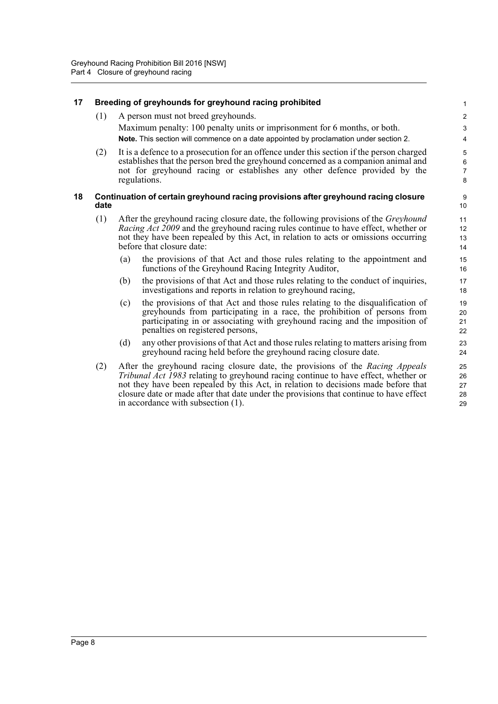<span id="page-13-1"></span><span id="page-13-0"></span>

| 17 |      |     | Breeding of greyhounds for greyhound racing prohibited                                                                                                                   | 1                       |
|----|------|-----|--------------------------------------------------------------------------------------------------------------------------------------------------------------------------|-------------------------|
|    | (1)  |     | A person must not breed greyhounds.                                                                                                                                      | $\overline{\mathbf{c}}$ |
|    |      |     | Maximum penalty: 100 penalty units or imprisonment for 6 months, or both.                                                                                                | 3                       |
|    |      |     | Note. This section will commence on a date appointed by proclamation under section 2.                                                                                    | 4                       |
|    | (2)  |     | It is a defence to a prosecution for an offence under this section if the person charged                                                                                 | 5                       |
|    |      |     | establishes that the person bred the greyhound concerned as a companion animal and<br>not for greyhound racing or establishes any other defence provided by the          | 6<br>$\overline{7}$     |
|    |      |     | regulations.                                                                                                                                                             | 8                       |
| 18 |      |     | Continuation of certain greyhound racing provisions after greyhound racing closure                                                                                       | 9                       |
|    | date |     |                                                                                                                                                                          | 10                      |
|    | (1)  |     | After the greyhound racing closure date, the following provisions of the Greyhound                                                                                       | 11                      |
|    |      |     | <i>Racing Act 2009</i> and the greyhound racing rules continue to have effect, whether or                                                                                | 12                      |
|    |      |     | not they have been repealed by this Act, in relation to acts or omissions occurring<br>before that closure date:                                                         | 13<br>14                |
|    |      | (a) | the provisions of that Act and those rules relating to the appointment and                                                                                               | 15                      |
|    |      |     | functions of the Greyhound Racing Integrity Auditor,                                                                                                                     | 16                      |
|    |      | (b) | the provisions of that Act and those rules relating to the conduct of inquiries,                                                                                         | 17                      |
|    |      |     | investigations and reports in relation to greyhound racing,                                                                                                              | 18                      |
|    |      | (c) | the provisions of that Act and those rules relating to the disqualification of<br>greyhounds from participating in a race, the prohibition of persons from               | 19<br>20                |
|    |      |     | participating in or associating with greyhound racing and the imposition of                                                                                              | 21                      |
|    |      |     | penalties on registered persons,                                                                                                                                         | 22                      |
|    |      | (d) | any other provisions of that Act and those rules relating to matters arising from                                                                                        | 23                      |
|    |      |     | greyhound racing held before the greyhound racing closure date.                                                                                                          | 24                      |
|    | (2)  |     | After the greyhound racing closure date, the provisions of the Racing Appeals                                                                                            | 25                      |
|    |      |     | Tribunal Act 1983 relating to greyhound racing continue to have effect, whether or<br>not they have been repealed by this Act, in relation to decisions made before that | 26                      |
|    |      |     | closure date or made after that date under the provisions that continue to have effect                                                                                   | 27<br>28                |
|    |      |     | in accordance with subsection (1).                                                                                                                                       | 29                      |
|    |      |     |                                                                                                                                                                          |                         |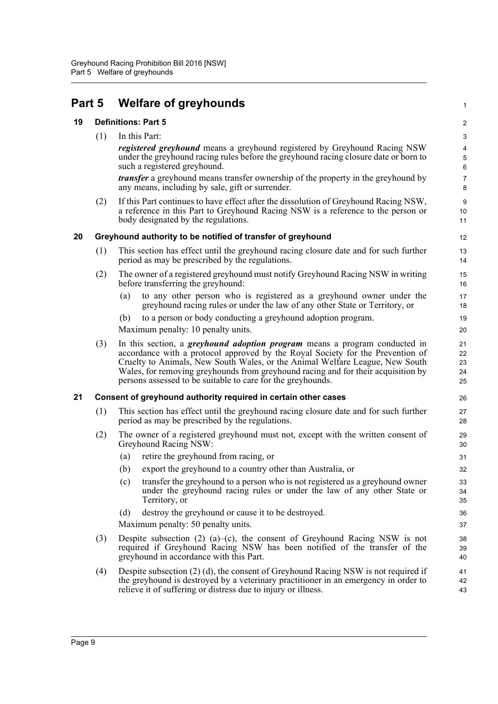## <span id="page-14-0"></span>**Part 5 Welfare of greyhounds**

#### <span id="page-14-1"></span>**19 Definitions: Part 5**

(1) In this Part:

*registered greyhound* means a greyhound registered by Greyhound Racing NSW under the greyhound racing rules before the greyhound racing closure date or born to such a registered greyhound.

1

*transfer* a greyhound means transfer ownership of the property in the greyhound by any means, including by sale, gift or surrender.

(2) If this Part continues to have effect after the dissolution of Greyhound Racing NSW, a reference in this Part to Greyhound Racing NSW is a reference to the person or body designated by the regulations.

#### <span id="page-14-2"></span>**20 Greyhound authority to be notified of transfer of greyhound**

- (1) This section has effect until the greyhound racing closure date and for such further period as may be prescribed by the regulations.
- (2) The owner of a registered greyhound must notify Greyhound Racing NSW in writing before transferring the greyhound:
	- (a) to any other person who is registered as a greyhound owner under the greyhound racing rules or under the law of any other State or Territory, or
	- (b) to a person or body conducting a greyhound adoption program.

Maximum penalty: 10 penalty units.

(3) In this section, a *greyhound adoption program* means a program conducted in accordance with a protocol approved by the Royal Society for the Prevention of Cruelty to Animals, New South Wales, or the Animal Welfare League, New South Wales, for removing greyhounds from greyhound racing and for their acquisition by persons assessed to be suitable to care for the greyhounds.

#### <span id="page-14-3"></span>**21 Consent of greyhound authority required in certain other cases**

- (1) This section has effect until the greyhound racing closure date and for such further period as may be prescribed by the regulations.
- (2) The owner of a registered greyhound must not, except with the written consent of Greyhound Racing NSW:
	- (a) retire the greyhound from racing, or
	- (b) export the greyhound to a country other than Australia, or
	- (c) transfer the greyhound to a person who is not registered as a greyhound owner under the greyhound racing rules or under the law of any other State or Territory, or
	- (d) destroy the greyhound or cause it to be destroyed.

Maximum penalty: 50 penalty units.

- (3) Despite subsection (2) (a)–(c), the consent of Greyhound Racing NSW is not required if Greyhound Racing NSW has been notified of the transfer of the greyhound in accordance with this Part.
- (4) Despite subsection (2) (d), the consent of Greyhound Racing NSW is not required if the greyhound is destroyed by a veterinary practitioner in an emergency in order to relieve it of suffering or distress due to injury or illness. 41 42 43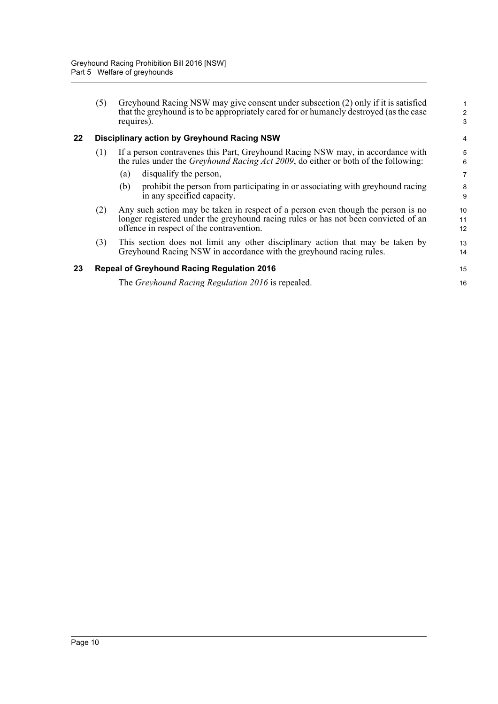<span id="page-15-1"></span><span id="page-15-0"></span>

|    | (5) | Greyhound Racing NSW may give consent under subsection (2) only if it is satisfied<br>that the greyhound is to be appropriately cared for or humanely destroyed (as the case<br>requires).                         | 2<br>3         |
|----|-----|--------------------------------------------------------------------------------------------------------------------------------------------------------------------------------------------------------------------|----------------|
| 22 |     | <b>Disciplinary action by Greyhound Racing NSW</b>                                                                                                                                                                 | 4              |
|    | (1) | If a person contravenes this Part, Greyhound Racing NSW may, in accordance with<br>the rules under the <i>Greyhound Racing Act 2009</i> , do either or both of the following:                                      | 5<br>6         |
|    |     | disqualify the person,<br>(a)                                                                                                                                                                                      | 7              |
|    |     | prohibit the person from participating in or associating with greyhound racing<br>(b)<br>in any specified capacity.                                                                                                | 8<br>9         |
|    | (2) | Any such action may be taken in respect of a person even though the person is no<br>longer registered under the greyhound racing rules or has not been convicted of an<br>offence in respect of the contravention. | 10<br>11<br>12 |
|    | (3) | This section does not limit any other disciplinary action that may be taken by<br>Greyhound Racing NSW in accordance with the greyhound racing rules.                                                              | 13<br>14       |
| 23 |     | <b>Repeal of Greyhound Racing Regulation 2016</b>                                                                                                                                                                  | 15             |
|    |     | The Greyhound Racing Regulation 2016 is repealed.                                                                                                                                                                  | 16             |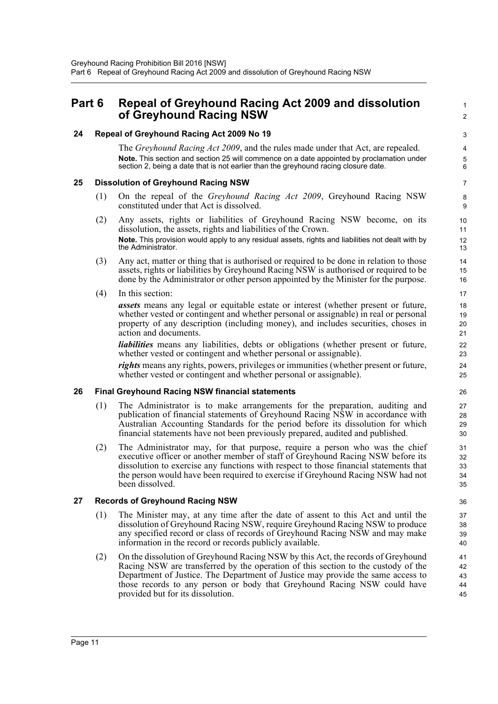### <span id="page-16-0"></span>**Part 6 Repeal of Greyhound Racing Act 2009 and dissolution of Greyhound Racing NSW**

#### <span id="page-16-1"></span>**24 Repeal of Greyhound Racing Act 2009 No 19**

The *Greyhound Racing Act 2009*, and the rules made under that Act, are repealed. **Note.** This section and section 25 will commence on a date appointed by proclamation under section 2, being a date that is not earlier than the greyhound racing closure date.

1  $\mathfrak{p}$ 

#### <span id="page-16-2"></span>**25 Dissolution of Greyhound Racing NSW**

- (1) On the repeal of the *Greyhound Racing Act 2009*, Greyhound Racing NSW constituted under that Act is dissolved.
- (2) Any assets, rights or liabilities of Greyhound Racing NSW become, on its dissolution, the assets, rights and liabilities of the Crown. **Note.** This provision would apply to any residual assets, rights and liabilities not dealt with by the Administrator.
- (3) Any act, matter or thing that is authorised or required to be done in relation to those assets, rights or liabilities by Greyhound Racing NSW is authorised or required to be done by the Administrator or other person appointed by the Minister for the purpose.
- (4) In this section:

*assets* means any legal or equitable estate or interest (whether present or future, whether vested or contingent and whether personal or assignable) in real or personal property of any description (including money), and includes securities, choses in action and documents.

*liabilities* means any liabilities, debts or obligations (whether present or future, whether vested or contingent and whether personal or assignable).

*rights* means any rights, powers, privileges or immunities (whether present or future, whether vested or contingent and whether personal or assignable).

#### <span id="page-16-3"></span>**26 Final Greyhound Racing NSW financial statements**

- (1) The Administrator is to make arrangements for the preparation, auditing and publication of financial statements of Greyhound Racing NSW in accordance with Australian Accounting Standards for the period before its dissolution for which financial statements have not been previously prepared, audited and published.
- (2) The Administrator may, for that purpose, require a person who was the chief executive officer or another member of staff of Greyhound Racing NSW before its dissolution to exercise any functions with respect to those financial statements that the person would have been required to exercise if Greyhound Racing NSW had not been dissolved.

#### <span id="page-16-4"></span>**27 Records of Greyhound Racing NSW**

- (1) The Minister may, at any time after the date of assent to this Act and until the dissolution of Greyhound Racing NSW, require Greyhound Racing NSW to produce any specified record or class of records of Greyhound Racing NSW and may make information in the record or records publicly available.
- (2) On the dissolution of Greyhound Racing NSW by this Act, the records of Greyhound Racing NSW are transferred by the operation of this section to the custody of the Department of Justice. The Department of Justice may provide the same access to those records to any person or body that Greyhound Racing NSW could have provided but for its dissolution.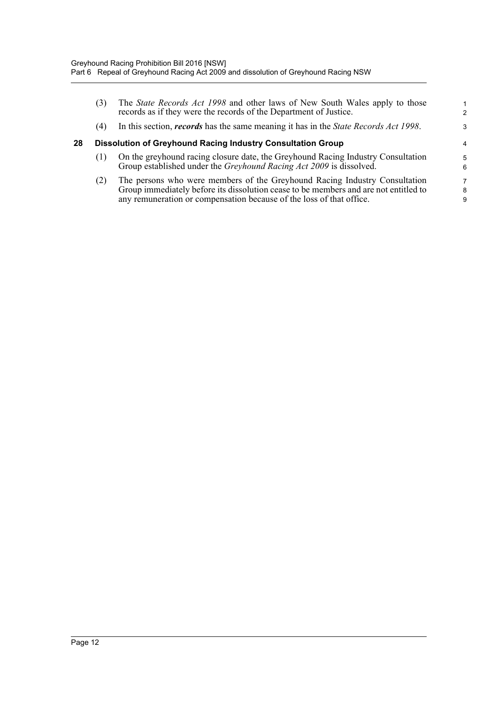<span id="page-17-0"></span>

|    | (3) | The <i>State Records Act 1998</i> and other laws of New South Wales apply to those<br>records as if they were the records of the Department of Justice.                                                                                    | 2           |
|----|-----|--------------------------------------------------------------------------------------------------------------------------------------------------------------------------------------------------------------------------------------------|-------------|
|    | (4) | In this section, <i>records</i> has the same meaning it has in the <i>State Records Act 1998</i> .                                                                                                                                         | 3           |
| 28 |     | <b>Dissolution of Greyhound Racing Industry Consultation Group</b>                                                                                                                                                                         | 4           |
|    | (1) | On the greyhound racing closure date, the Greyhound Racing Industry Consultation<br>Group established under the <i>Greyhound Racing Act 2009</i> is dissolved.                                                                             | 5<br>6      |
|    | (2) | The persons who were members of the Greyhound Racing Industry Consultation<br>Group immediately before its dissolution cease to be members and are not entitled to<br>any remuneration or compensation because of the loss of that office. | 7<br>8<br>9 |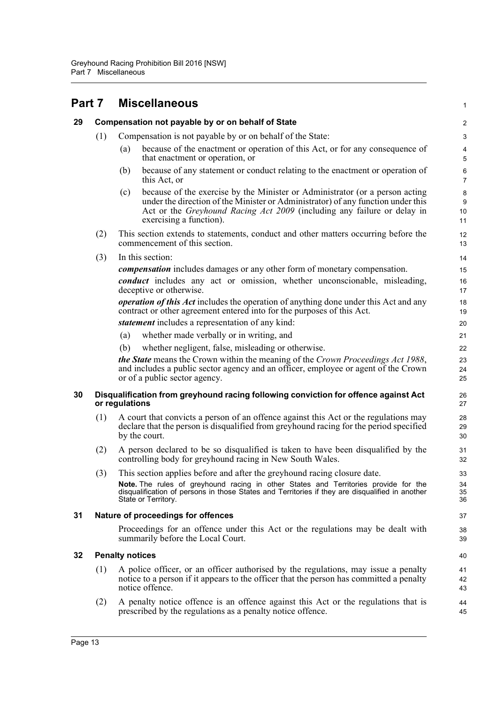#### <span id="page-18-4"></span><span id="page-18-3"></span><span id="page-18-2"></span><span id="page-18-1"></span><span id="page-18-0"></span>**Part 7 Miscellaneous 29 Compensation not payable by or on behalf of State** (1) Compensation is not payable by or on behalf of the State: (a) because of the enactment or operation of this Act, or for any consequence of that enactment or operation, or (b) because of any statement or conduct relating to the enactment or operation of this Act, or (c) because of the exercise by the Minister or Administrator (or a person acting under the direction of the Minister or Administrator) of any function under this Act or the *Greyhound Racing Act 2009* (including any failure or delay in exercising a function). (2) This section extends to statements, conduct and other matters occurring before the commencement of this section. (3) In this section: *compensation* includes damages or any other form of monetary compensation. *conduct* includes any act or omission, whether unconscionable, misleading, deceptive or otherwise. *operation of this Act* includes the operation of anything done under this Act and any contract or other agreement entered into for the purposes of this Act. *statement* includes a representation of any kind: (a) whether made verbally or in writing, and (b) whether negligent, false, misleading or otherwise. *the State* means the Crown within the meaning of the *Crown Proceedings Act 1988*, and includes a public sector agency and an officer, employee or agent of the Crown or of a public sector agency. **30 Disqualification from greyhound racing following conviction for offence against Act or regulations** (1) A court that convicts a person of an offence against this Act or the regulations may declare that the person is disqualified from greyhound racing for the period specified by the court. (2) A person declared to be so disqualified is taken to have been disqualified by the controlling body for greyhound racing in New South Wales. (3) This section applies before and after the greyhound racing closure date. **Note.** The rules of greyhound racing in other States and Territories provide for the disqualification of persons in those States and Territories if they are disqualified in another State or Territory. **31 Nature of proceedings for offences** Proceedings for an offence under this Act or the regulations may be dealt with summarily before the Local Court. **32 Penalty notices** (1) A police officer, or an officer authorised by the regulations, may issue a penalty notice to a person if it appears to the officer that the person has committed a penalty notice offence. (2) A penalty notice offence is an offence against this Act or the regulations that is prescribed by the regulations as a penalty notice offence. 1  $\overline{2}$ 3 4 5 6 7 8 q 10 11 12 13 14 15 16 17 18 19 20 21 22 23 24 25 26 27 28 29 30 31 32 33 34 35 36 37 38 39 40 41 42 43 44 45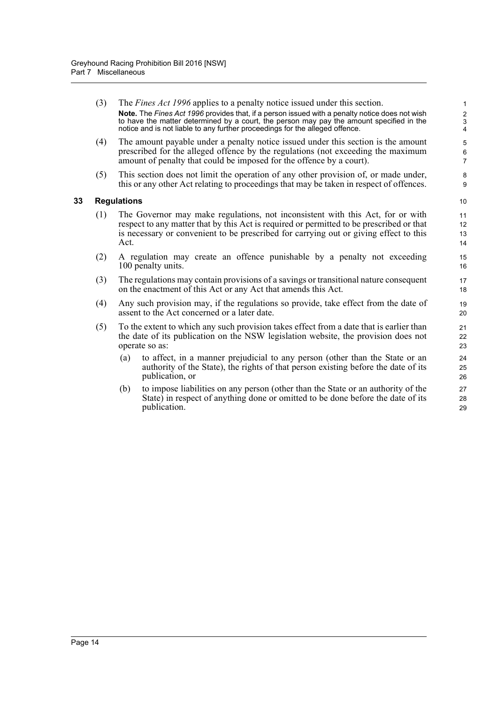- <span id="page-19-0"></span>(3) The *Fines Act 1996* applies to a penalty notice issued under this section. **Note.** The *Fines Act 1996* provides that, if a person issued with a penalty notice does not wish to have the matter determined by a court, the person may pay the amount specified in the notice and is not liable to any further proceedings for the alleged offence. (4) The amount payable under a penalty notice issued under this section is the amount prescribed for the alleged offence by the regulations (not exceeding the maximum amount of penalty that could be imposed for the offence by a court). (5) This section does not limit the operation of any other provision of, or made under, this or any other Act relating to proceedings that may be taken in respect of offences. **33 Regulations** (1) The Governor may make regulations, not inconsistent with this Act, for or with respect to any matter that by this Act is required or permitted to be prescribed or that is necessary or convenient to be prescribed for carrying out or giving effect to this Act. (2) A regulation may create an offence punishable by a penalty not exceeding 100 penalty units. (3) The regulations may contain provisions of a savings or transitional nature consequent on the enactment of this Act or any Act that amends this Act. (4) Any such provision may, if the regulations so provide, take effect from the date of assent to the Act concerned or a later date. (5) To the extent to which any such provision takes effect from a date that is earlier than the date of its publication on the NSW legislation website, the provision does not operate so as: (a) to affect, in a manner prejudicial to any person (other than the State or an authority of the State), the rights of that person existing before the date of its publication, or 1 2 3 4 5 6 7 8 9 10 11 12 13 14 15 16 17 18 19 20  $21$  $22$ 23 24 25 26
	- (b) to impose liabilities on any person (other than the State or an authority of the State) in respect of anything done or omitted to be done before the date of its publication.

27 28 29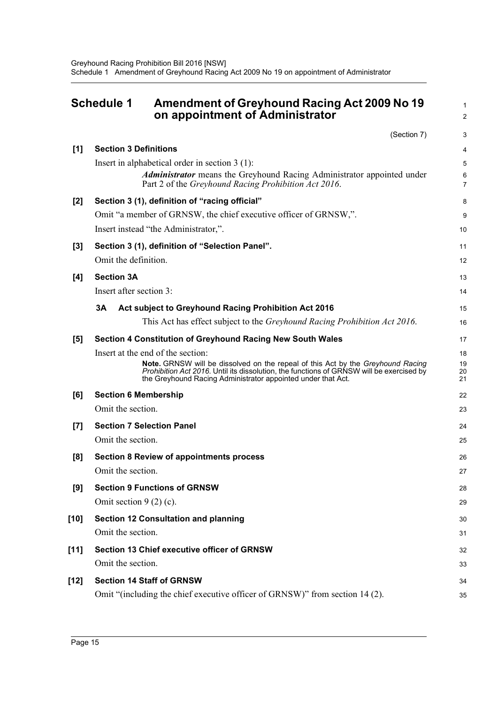<span id="page-20-0"></span>

|       | <b>Schedule 1</b><br>Amendment of Greyhound Racing Act 2009 No 19<br>on appointment of Administrator                                                                                                                                               | 1<br>2              |
|-------|----------------------------------------------------------------------------------------------------------------------------------------------------------------------------------------------------------------------------------------------------|---------------------|
|       | (Section 7)                                                                                                                                                                                                                                        | 3                   |
| [1]   | <b>Section 3 Definitions</b>                                                                                                                                                                                                                       | 4                   |
|       | Insert in alphabetical order in section $3(1)$ :                                                                                                                                                                                                   | 5                   |
|       | <b>Administrator</b> means the Greyhound Racing Administrator appointed under<br>Part 2 of the Greyhound Racing Prohibition Act 2016.                                                                                                              | 6<br>$\overline{7}$ |
| $[2]$ | Section 3 (1), definition of "racing official"                                                                                                                                                                                                     | 8                   |
|       | Omit "a member of GRNSW, the chief executive officer of GRNSW,".                                                                                                                                                                                   | 9                   |
|       | Insert instead "the Administrator,".                                                                                                                                                                                                               | 10                  |
| $[3]$ | Section 3 (1), definition of "Selection Panel".                                                                                                                                                                                                    | 11                  |
|       | Omit the definition.                                                                                                                                                                                                                               | 12                  |
| [4]   | <b>Section 3A</b>                                                                                                                                                                                                                                  | 13                  |
|       | Insert after section 3:                                                                                                                                                                                                                            | 14                  |
|       | 3Α<br>Act subject to Greyhound Racing Prohibition Act 2016                                                                                                                                                                                         | 15                  |
|       | This Act has effect subject to the Greyhound Racing Prohibition Act 2016.                                                                                                                                                                          | 16                  |
| [5]   | <b>Section 4 Constitution of Greyhound Racing New South Wales</b>                                                                                                                                                                                  | 17                  |
|       | Insert at the end of the section:                                                                                                                                                                                                                  | 18                  |
|       | Note. GRNSW will be dissolved on the repeal of this Act by the Greyhound Racing<br><i>Prohibition Act 2016.</i> Until its dissolution, the functions of GRNSW will be exercised by<br>the Greyhound Racing Administrator appointed under that Act. | 19<br>20<br>21      |
| [6]   | <b>Section 6 Membership</b>                                                                                                                                                                                                                        | 22                  |
|       | Omit the section.                                                                                                                                                                                                                                  | 23                  |
| [7]   | <b>Section 7 Selection Panel</b>                                                                                                                                                                                                                   | 24                  |
|       | Omit the section.                                                                                                                                                                                                                                  | 25                  |
| [8]   | <b>Section 8 Review of appointments process</b>                                                                                                                                                                                                    | 26                  |
|       | Omit the section.                                                                                                                                                                                                                                  | 27                  |
| [9]   | <b>Section 9 Functions of GRNSW</b>                                                                                                                                                                                                                | 28                  |
|       | Omit section $9(2)(c)$ .                                                                                                                                                                                                                           | 29                  |
| [10]  | <b>Section 12 Consultation and planning</b>                                                                                                                                                                                                        | 30                  |
|       | Omit the section.                                                                                                                                                                                                                                  | 31                  |
| [11]  | <b>Section 13 Chief executive officer of GRNSW</b>                                                                                                                                                                                                 | 32                  |
|       | Omit the section.                                                                                                                                                                                                                                  | 33                  |
| [12]  | <b>Section 14 Staff of GRNSW</b>                                                                                                                                                                                                                   | 34                  |
|       | Omit "(including the chief executive officer of GRNSW)" from section 14 (2).                                                                                                                                                                       | 35                  |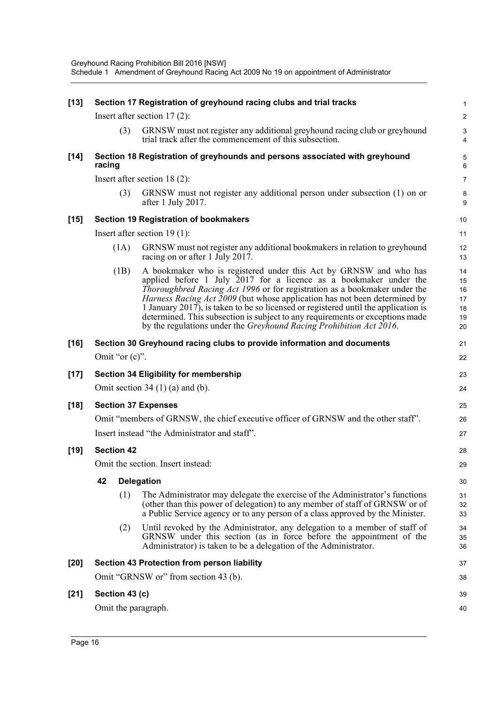| $[13]$ |        |                   | Section 17 Registration of greyhound racing clubs and trial tracks                                                                                                                                                                                                                                                                                                                                                                                                                                                                                       | 1                                      |
|--------|--------|-------------------|----------------------------------------------------------------------------------------------------------------------------------------------------------------------------------------------------------------------------------------------------------------------------------------------------------------------------------------------------------------------------------------------------------------------------------------------------------------------------------------------------------------------------------------------------------|----------------------------------------|
|        |        |                   | Insert after section $17(2)$ :                                                                                                                                                                                                                                                                                                                                                                                                                                                                                                                           | $\overline{\mathbf{c}}$                |
|        |        | (3)               | GRNSW must not register any additional greyhound racing club or greyhound<br>trial track after the commencement of this subsection.                                                                                                                                                                                                                                                                                                                                                                                                                      | 3<br>4                                 |
| $[14]$ | racing |                   | Section 18 Registration of greyhounds and persons associated with greyhound                                                                                                                                                                                                                                                                                                                                                                                                                                                                              | 5<br>6                                 |
|        |        |                   | Insert after section $18(2)$ :                                                                                                                                                                                                                                                                                                                                                                                                                                                                                                                           | 7                                      |
|        |        | (3)               | GRNSW must not register any additional person under subsection (1) on or<br>after 1 July 2017.                                                                                                                                                                                                                                                                                                                                                                                                                                                           | 8<br>9                                 |
| $[15]$ |        |                   | <b>Section 19 Registration of bookmakers</b>                                                                                                                                                                                                                                                                                                                                                                                                                                                                                                             | 10                                     |
|        |        |                   | Insert after section $19(1)$ :                                                                                                                                                                                                                                                                                                                                                                                                                                                                                                                           | 11                                     |
|        |        | (1A)              | GRNSW must not register any additional bookmakers in relation to greyhound<br>racing on or after 1 July 2017.                                                                                                                                                                                                                                                                                                                                                                                                                                            | 12<br>13                               |
|        |        | (1B)              | A bookmaker who is registered under this Act by GRNSW and who has<br>applied before 1 July $2017$ for a licence as a bookmaker under the<br>Thoroughbred Racing Act 1996 or for registration as a bookmaker under the<br>Harness Racing Act 2009 (but whose application has not been determined by<br>1 January 2017), is taken to be so licensed or registered until the application is<br>determined. This subsection is subject to any requirements or exceptions made<br>by the regulations under the <i>Greyhound Racing Prohibition Act 2016</i> . | 14<br>15<br>16<br>17<br>18<br>19<br>20 |
| $[16]$ |        |                   | Section 30 Greyhound racing clubs to provide information and documents                                                                                                                                                                                                                                                                                                                                                                                                                                                                                   | 21                                     |
|        |        | Omit "or $(c)$ ". |                                                                                                                                                                                                                                                                                                                                                                                                                                                                                                                                                          | 22                                     |
| $[17]$ |        |                   | <b>Section 34 Eligibility for membership</b>                                                                                                                                                                                                                                                                                                                                                                                                                                                                                                             | 23                                     |
|        |        |                   | Omit section 34 $(1)$ $(a)$ and $(b)$ .                                                                                                                                                                                                                                                                                                                                                                                                                                                                                                                  | 24                                     |
| $[18]$ |        |                   | <b>Section 37 Expenses</b>                                                                                                                                                                                                                                                                                                                                                                                                                                                                                                                               | 25                                     |
|        |        |                   | Omit "members of GRNSW, the chief executive officer of GRNSW and the other staff".                                                                                                                                                                                                                                                                                                                                                                                                                                                                       | 26                                     |
|        |        |                   | Insert instead "the Administrator and staff".                                                                                                                                                                                                                                                                                                                                                                                                                                                                                                            | 27                                     |
| $[19]$ |        | <b>Section 42</b> |                                                                                                                                                                                                                                                                                                                                                                                                                                                                                                                                                          | 28                                     |
|        |        |                   | Omit the section. Insert instead:                                                                                                                                                                                                                                                                                                                                                                                                                                                                                                                        | 29                                     |
|        | 42     |                   | <b>Delegation</b>                                                                                                                                                                                                                                                                                                                                                                                                                                                                                                                                        | 30                                     |
|        |        | (1)               | The Administrator may delegate the exercise of the Administrator's functions<br>(other than this power of delegation) to any member of staff of GRNSW or of<br>a Public Service agency or to any person of a class approved by the Minister.                                                                                                                                                                                                                                                                                                             | 31<br>32<br>33                         |
|        |        | (2)               | Until revoked by the Administrator, any delegation to a member of staff of<br>GRNSW under this section (as in force before the appointment of the<br>Administrator) is taken to be a delegation of the Administrator.                                                                                                                                                                                                                                                                                                                                    | 34<br>35<br>36                         |
| $[20]$ |        |                   | Section 43 Protection from person liability                                                                                                                                                                                                                                                                                                                                                                                                                                                                                                              | 37                                     |
|        |        |                   | Omit "GRNSW or" from section 43 (b).                                                                                                                                                                                                                                                                                                                                                                                                                                                                                                                     | 38                                     |
| $[21]$ |        | Section 43 (c)    |                                                                                                                                                                                                                                                                                                                                                                                                                                                                                                                                                          | 39                                     |
|        |        |                   | Omit the paragraph.                                                                                                                                                                                                                                                                                                                                                                                                                                                                                                                                      | 40                                     |
|        |        |                   |                                                                                                                                                                                                                                                                                                                                                                                                                                                                                                                                                          |                                        |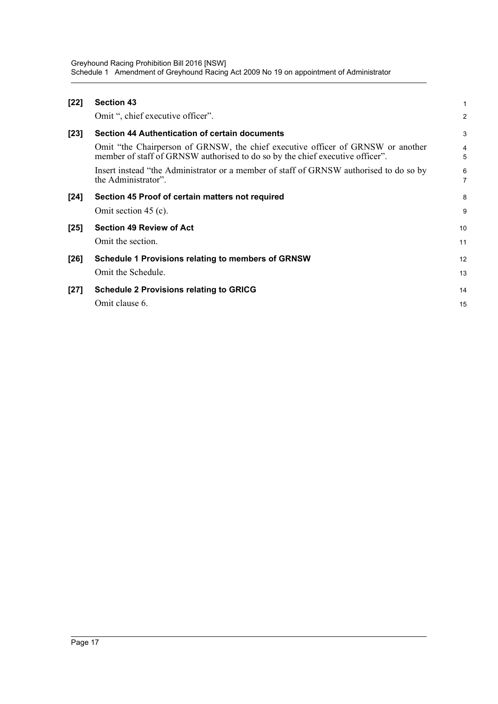Greyhound Racing Prohibition Bill 2016 [NSW] Schedule 1 Amendment of Greyhound Racing Act 2009 No 19 on appointment of Administrator

| $[22]$ | <b>Section 43</b>                                                                                                                                                | 1      |
|--------|------------------------------------------------------------------------------------------------------------------------------------------------------------------|--------|
|        | Omit ", chief executive officer".                                                                                                                                | 2      |
| $[23]$ | Section 44 Authentication of certain documents                                                                                                                   | 3      |
|        | Omit "the Chairperson of GRNSW, the chief executive officer of GRNSW or another<br>member of staff of GRNSW authorised to do so by the chief executive officer". | 4<br>5 |
|        | Insert instead "the Administrator or a member of staff of GRNSW authorised to do so by<br>the Administrator".                                                    | 6<br>7 |
| $[24]$ | Section 45 Proof of certain matters not required                                                                                                                 | 8      |
|        | Omit section 45 (c).                                                                                                                                             | 9      |
| $[25]$ | <b>Section 49 Review of Act</b>                                                                                                                                  | 10     |
|        | Omit the section.                                                                                                                                                | 11     |
| $[26]$ | <b>Schedule 1 Provisions relating to members of GRNSW</b>                                                                                                        | 12     |
|        | Omit the Schedule.                                                                                                                                               | 13     |
| $[27]$ | <b>Schedule 2 Provisions relating to GRICG</b>                                                                                                                   | 14     |
|        | Omit clause 6.                                                                                                                                                   | 15     |
|        |                                                                                                                                                                  |        |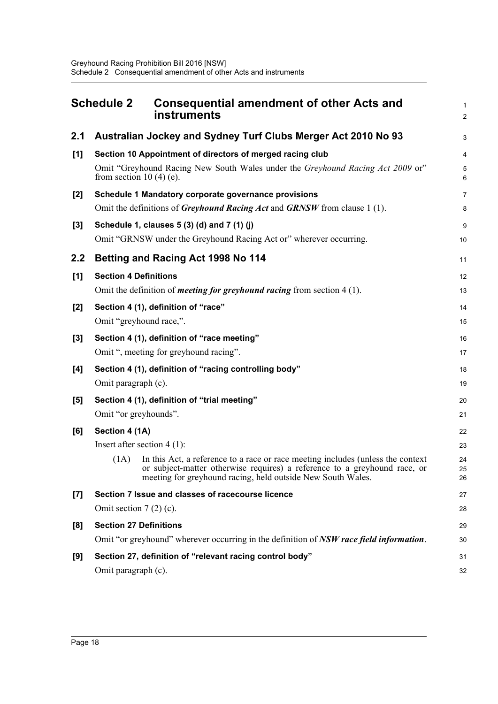<span id="page-23-0"></span>

|       | <b>Schedule 2</b>                                       | <b>Consequential amendment of other Acts and</b><br>instruments                                                                                                                                                             | $\mathbf{1}$<br>$\overline{2}$ |
|-------|---------------------------------------------------------|-----------------------------------------------------------------------------------------------------------------------------------------------------------------------------------------------------------------------------|--------------------------------|
| 2.1   |                                                         | Australian Jockey and Sydney Turf Clubs Merger Act 2010 No 93                                                                                                                                                               | 3                              |
| [1]   | from section 10 $(4)$ $(e)$ .                           | Section 10 Appointment of directors of merged racing club<br>Omit "Greyhound Racing New South Wales under the Greyhound Racing Act 2009 or"                                                                                 | 4<br>5<br>6                    |
| [2]   |                                                         | Schedule 1 Mandatory corporate governance provisions<br>Omit the definitions of <i>Greyhound Racing Act</i> and <i>GRNSW</i> from clause 1(1).                                                                              | $\overline{7}$<br>8            |
| $[3]$ |                                                         | Schedule 1, clauses 5 (3) (d) and 7 (1) (j)<br>Omit "GRNSW under the Greyhound Racing Act or" wherever occurring.                                                                                                           | 9<br>10                        |
| 2.2   |                                                         | Betting and Racing Act 1998 No 114                                                                                                                                                                                          | 11                             |
| [1]   | <b>Section 4 Definitions</b>                            | Omit the definition of <i>meeting for greyhound racing</i> from section $4(1)$ .                                                                                                                                            | 12<br>13                       |
| [2]   | Omit "greyhound race,".                                 | Section 4 (1), definition of "race"                                                                                                                                                                                         | 14<br>15                       |
| $[3]$ |                                                         | Section 4 (1), definition of "race meeting"<br>Omit ", meeting for greyhound racing".                                                                                                                                       | 16<br>17                       |
| [4]   | Omit paragraph (c).                                     | Section 4 (1), definition of "racing controlling body"                                                                                                                                                                      | 18<br>19                       |
| [5]   | Omit "or greyhounds".                                   | Section 4 (1), definition of "trial meeting"                                                                                                                                                                                | 20<br>21                       |
| [6]   | Section 4 (1A)<br>Insert after section $4(1)$ :<br>(1A) | In this Act, a reference to a race or race meeting includes (unless the context<br>or subject-matter otherwise requires) a reference to a greyhound race, or<br>meeting for greyhound racing, held outside New South Wales. | 22<br>23<br>24<br>25<br>26     |
| [7]   | Omit section $7(2)(c)$ .                                | Section 7 Issue and classes of racecourse licence                                                                                                                                                                           | 27<br>28                       |
| [8]   | <b>Section 27 Definitions</b>                           | Omit "or greyhound" wherever occurring in the definition of NSW race field information.                                                                                                                                     | 29<br>30                       |
| [9]   | Omit paragraph (c).                                     | Section 27, definition of "relevant racing control body"                                                                                                                                                                    | 31<br>32                       |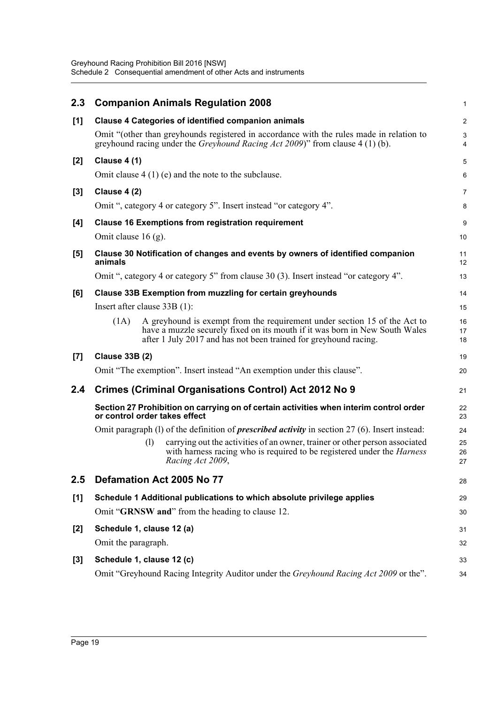| 2.3   |                                                                                                                         |     | <b>Companion Animals Regulation 2008</b>                                                                                                                                                                                     | $\mathbf{1}$     |  |  |
|-------|-------------------------------------------------------------------------------------------------------------------------|-----|------------------------------------------------------------------------------------------------------------------------------------------------------------------------------------------------------------------------------|------------------|--|--|
| [1]   |                                                                                                                         |     | <b>Clause 4 Categories of identified companion animals</b>                                                                                                                                                                   | $\overline{c}$   |  |  |
|       |                                                                                                                         |     | Omit "(other than greyhounds registered in accordance with the rules made in relation to<br>greyhound racing under the <i>Greyhound Racing Act 2009</i> )" from clause 4 (1) (b).                                            | $\mathsf 3$<br>4 |  |  |
| $[2]$ | <b>Clause 4 (1)</b>                                                                                                     |     |                                                                                                                                                                                                                              | 5                |  |  |
|       |                                                                                                                         |     | Omit clause $4(1)(e)$ and the note to the subclause.                                                                                                                                                                         | 6                |  |  |
| $[3]$ | Clause 4 (2)                                                                                                            |     |                                                                                                                                                                                                                              | 7                |  |  |
|       |                                                                                                                         |     | Omit ", category 4 or category 5". Insert instead "or category 4".                                                                                                                                                           | 8                |  |  |
| [4]   |                                                                                                                         |     | <b>Clause 16 Exemptions from registration requirement</b>                                                                                                                                                                    | 9                |  |  |
|       | Omit clause $16$ (g).                                                                                                   |     |                                                                                                                                                                                                                              | 10               |  |  |
| $[5]$ | animals                                                                                                                 |     | Clause 30 Notification of changes and events by owners of identified companion                                                                                                                                               | 11<br>12         |  |  |
|       |                                                                                                                         |     | Omit ", category 4 or category 5" from clause 30 (3). Insert instead "or category 4".                                                                                                                                        | 13               |  |  |
| [6]   |                                                                                                                         |     | <b>Clause 33B Exemption from muzzling for certain greyhounds</b>                                                                                                                                                             | 14               |  |  |
|       | Insert after clause 33B (1):                                                                                            |     |                                                                                                                                                                                                                              | 15               |  |  |
|       | (1A)                                                                                                                    |     | A greyhound is exempt from the requirement under section 15 of the Act to<br>have a muzzle securely fixed on its mouth if it was born in New South Wales<br>after 1 July 2017 and has not been trained for greyhound racing. | 16<br>17<br>18   |  |  |
| [7]   | <b>Clause 33B (2)</b>                                                                                                   |     |                                                                                                                                                                                                                              | 19               |  |  |
|       |                                                                                                                         |     | Omit "The exemption". Insert instead "An exemption under this clause".                                                                                                                                                       | 20               |  |  |
| 2.4   |                                                                                                                         |     | <b>Crimes (Criminal Organisations Control) Act 2012 No 9</b>                                                                                                                                                                 | 21               |  |  |
|       | Section 27 Prohibition on carrying on of certain activities when interim control order<br>or control order takes effect |     |                                                                                                                                                                                                                              |                  |  |  |
|       |                                                                                                                         |     | Omit paragraph (1) of the definition of <i>prescribed activity</i> in section $27(6)$ . Insert instead:                                                                                                                      | 24               |  |  |
|       |                                                                                                                         | (1) | carrying out the activities of an owner, trainer or other person associated<br>with harness racing who is required to be registered under the <i>Harness</i><br>Racing Act 2009,                                             | 25<br>26<br>27   |  |  |
| 2.5   |                                                                                                                         |     | Defamation Act 2005 No 77                                                                                                                                                                                                    | 28               |  |  |
| [1]   | Schedule 1 Additional publications to which absolute privilege applies                                                  |     |                                                                                                                                                                                                                              |                  |  |  |
|       |                                                                                                                         |     | Omit "GRNSW and" from the heading to clause 12.                                                                                                                                                                              | 30               |  |  |
| $[2]$ | Schedule 1, clause 12 (a)                                                                                               |     |                                                                                                                                                                                                                              | 31               |  |  |
|       | Omit the paragraph.                                                                                                     |     |                                                                                                                                                                                                                              | 32               |  |  |
| $[3]$ | Schedule 1, clause 12 (c)                                                                                               |     |                                                                                                                                                                                                                              | 33               |  |  |
|       |                                                                                                                         |     | Omit "Greyhound Racing Integrity Auditor under the Greyhound Racing Act 2009 or the".                                                                                                                                        | 34               |  |  |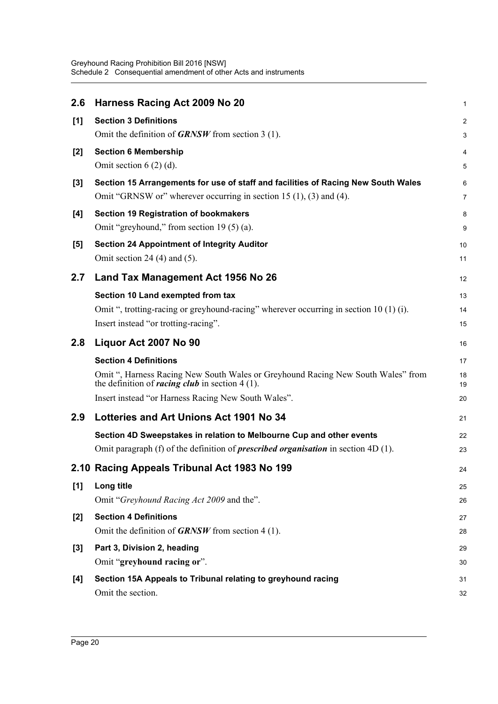| 2.6   | Harness Racing Act 2009 No 20                                                                                                                                       | 1        |
|-------|---------------------------------------------------------------------------------------------------------------------------------------------------------------------|----------|
| [1]   | <b>Section 3 Definitions</b>                                                                                                                                        | 2        |
|       | Omit the definition of $GRNSW$ from section 3 (1).                                                                                                                  | 3        |
| $[2]$ | <b>Section 6 Membership</b>                                                                                                                                         | 4        |
|       | Omit section $6(2)(d)$ .                                                                                                                                            | 5        |
| $[3]$ | Section 15 Arrangements for use of staff and facilities of Racing New South Wales<br>Omit "GRNSW or" wherever occurring in section 15 $(1)$ , $(3)$ and $(4)$ .     | 6<br>7   |
| [4]   | <b>Section 19 Registration of bookmakers</b>                                                                                                                        | 8        |
|       | Omit "greyhound," from section 19 (5) (a).                                                                                                                          | 9        |
| $[5]$ | <b>Section 24 Appointment of Integrity Auditor</b><br>Omit section 24 $(4)$ and $(5)$ .                                                                             | 10<br>11 |
|       |                                                                                                                                                                     |          |
| 2.7   | Land Tax Management Act 1956 No 26                                                                                                                                  | 12       |
|       | Section 10 Land exempted from tax<br>Omit ", trotting-racing or greyhound-racing" wherever occurring in section 10 (1) (i).                                         | 13       |
|       | Insert instead "or trotting-racing".                                                                                                                                | 14<br>15 |
| 2.8   | Liquor Act 2007 No 90                                                                                                                                               | 16       |
|       | <b>Section 4 Definitions</b>                                                                                                                                        | 17       |
|       | Omit ", Harness Racing New South Wales or Greyhound Racing New South Wales" from<br>the definition of <i>racing club</i> in section $4(1)$ .                        | 18<br>19 |
|       | Insert instead "or Harness Racing New South Wales".                                                                                                                 | 20       |
| 2.9   | Lotteries and Art Unions Act 1901 No 34                                                                                                                             | 21       |
|       | Section 4D Sweepstakes in relation to Melbourne Cup and other events<br>Omit paragraph (f) of the definition of <i>prescribed organisation</i> in section $4D(1)$ . | 22<br>23 |
|       | 2.10 Racing Appeals Tribunal Act 1983 No 199                                                                                                                        | 24       |
| [1]   | Long title                                                                                                                                                          | 25       |
|       | Omit "Greyhound Racing Act 2009 and the".                                                                                                                           | 26       |
| [2]   | <b>Section 4 Definitions</b>                                                                                                                                        | 27       |
|       | Omit the definition of <b>GRNSW</b> from section 4 (1).                                                                                                             | 28       |
| $[3]$ | Part 3, Division 2, heading                                                                                                                                         | 29       |
|       | Omit "greyhound racing or".                                                                                                                                         | 30       |
| [4]   | Section 15A Appeals to Tribunal relating to greyhound racing                                                                                                        | 31       |
|       | Omit the section.                                                                                                                                                   | 32       |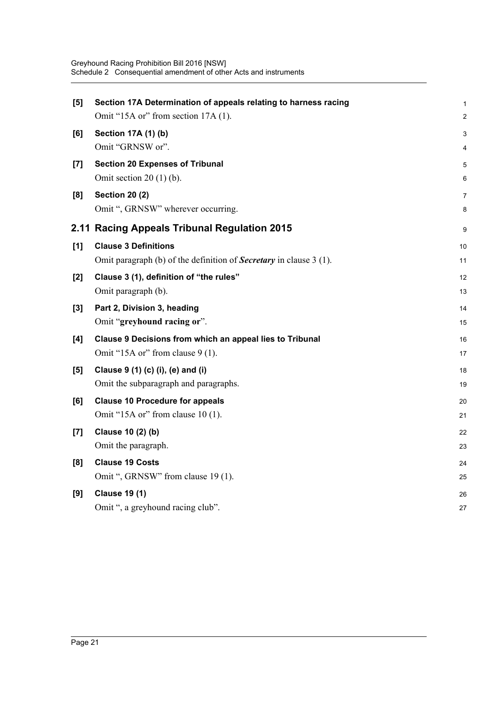| [5]   | Section 17A Determination of appeals relating to harness racing<br>Omit "15A or" from section 17A (1). | $\mathbf{1}$<br>$\overline{2}$ |
|-------|--------------------------------------------------------------------------------------------------------|--------------------------------|
|       |                                                                                                        |                                |
| [6]   | Section 17A (1) (b)<br>Omit "GRNSW or".                                                                | 3<br>4                         |
|       |                                                                                                        |                                |
| $[7]$ | <b>Section 20 Expenses of Tribunal</b><br>Omit section $20(1)(b)$ .                                    | 5                              |
|       |                                                                                                        | 6                              |
| [8]   | <b>Section 20 (2)</b>                                                                                  | $\overline{7}$                 |
|       | Omit ", GRNSW" wherever occurring.                                                                     | 8                              |
|       | 2.11 Racing Appeals Tribunal Regulation 2015                                                           | 9                              |
| [1]   | <b>Clause 3 Definitions</b>                                                                            | 10                             |
|       | Omit paragraph (b) of the definition of <b>Secretary</b> in clause 3 (1).                              | 11                             |
| [2]   | Clause 3 (1), definition of "the rules"                                                                | 12                             |
|       | Omit paragraph (b).                                                                                    | 13                             |
| $[3]$ | Part 2, Division 3, heading                                                                            | 14                             |
|       | Omit "greyhound racing or".                                                                            | 15                             |
| [4]   | Clause 9 Decisions from which an appeal lies to Tribunal                                               | 16                             |
|       | Omit "15A or" from clause $9(1)$ .                                                                     | 17                             |
| [5]   | Clause 9 (1) (c) (i), (e) and (i)                                                                      | 18                             |
|       | Omit the subparagraph and paragraphs.                                                                  | 19                             |
| [6]   | <b>Clause 10 Procedure for appeals</b>                                                                 | 20                             |
|       | Omit "15A or" from clause $10(1)$ .                                                                    | 21                             |
| [7]   | Clause 10 (2) (b)                                                                                      | 22                             |
|       | Omit the paragraph.                                                                                    | 23                             |
| [8]   | <b>Clause 19 Costs</b>                                                                                 | 24                             |
|       | Omit ", GRNSW" from clause 19 (1).                                                                     | 25                             |
| [9]   | <b>Clause 19 (1)</b>                                                                                   | 26                             |
|       | Omit ", a greyhound racing club".                                                                      | 27                             |
|       |                                                                                                        |                                |